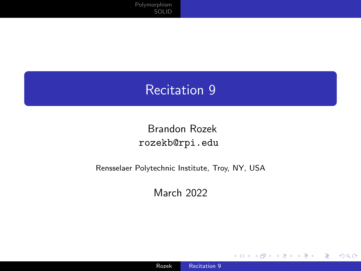# <span id="page-0-0"></span>Recitation 9

#### Brandon Rozek [rozekb@rpi.edu](mailto:rozekb@rpi.edu)

#### Rensselaer Polytechnic Institute, Troy, NY, USA

March 2022

4日下

 $299$ 

≣

准 -b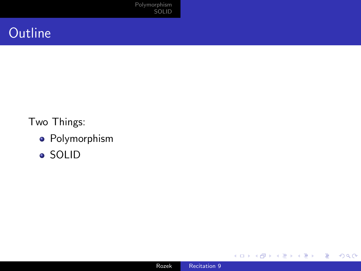[Polymorphism](#page-2-0) [SOLID](#page-9-0)

# **Outline**

Two Things:

- **•** Polymorphism
- SOLID



**Kロト K包ト** 

目

 $\rightarrow$ 

≣

×. D.  $\blacktriangleleft$  E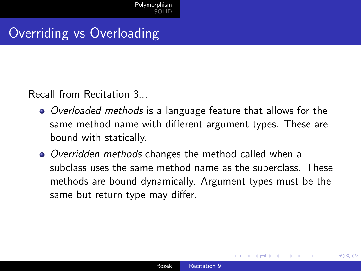# <span id="page-2-0"></span>Overriding vs Overloading

Recall from Recitation 3...

- Overloaded methods is a language feature that allows for the same method name with different argument types. These are bound with statically.
- Overridden methods changes the method called when a subclass uses the same method name as the superclass. These methods are bound dynamically. Argument types must be the same but return type may differ.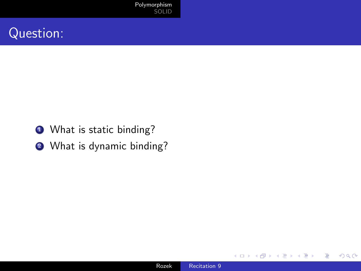- **1** What is static binding?
- **2** What is dynamic binding?

∢⊡

**B** 

E

≣

-b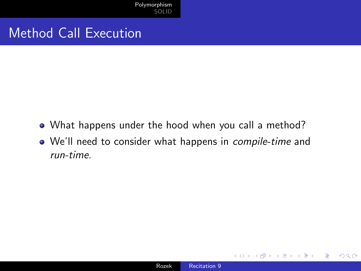[Polymorphism](#page-2-0) [SOLID](#page-9-0)

#### Method Call Execution

- What happens under the hood when you call a method?
- We'll need to consider what happens in compile-time and run-time.

 $QQ$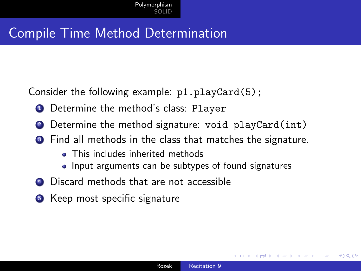# Compile Time Method Determination

Consider the following example: p1.playCard(5);

- **1** Determine the method's class: Player
- <sup>2</sup> Determine the method signature: void playCard(int)
- <sup>3</sup> Find all methods in the class that matches the signature.
	- This includes inherited methods
	- Input arguments can be subtypes of found signatures
- **4** Discard methods that are not accessible
- **5** Keep most specific signature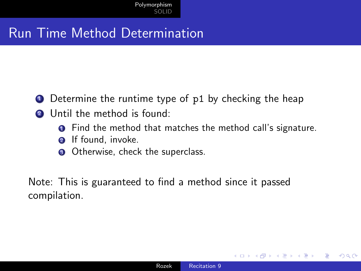# Run Time Method Determination

- **1** Determine the runtime type of p1 by checking the heap
- <sup>2</sup> Until the method is found:
	- **O** Find the method that matches the method call's signature.
	- **2** If found, invoke.
	- **3** Otherwise, check the superclass.

Note: This is guaranteed to find a method since it passed compilation.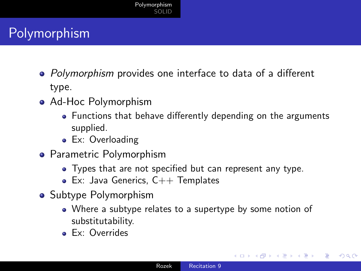# Polymorphism

- Polymorphism provides one interface to data of a different type.
- Ad-Hoc Polymorphism
	- Functions that behave differently depending on the arguments supplied.
	- **Ex:** Overloading
- **•** Parametric Polymorphism
	- Types that are not specified but can represent any type.
	- $\bullet$  Ex: Java Generics,  $C++$  Templates
- Subtype Polymorphism
	- Where a subtype relates to a supertype by some notion of substitutability.
	- **Ex:** Overrides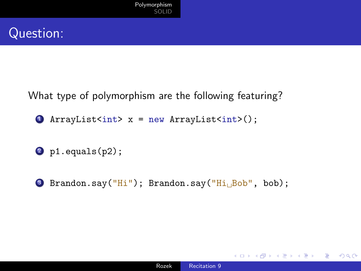What type of polymorphism are the following featuring?

- $\bullet$  ArrayList<int> x = new ArrayList<int>();
- $2$  p1.equals(p2);
- <sup>3</sup> Brandon.say("Hi"); Brandon.say("Hi␣Bob", bob);

 $2990$ 

∍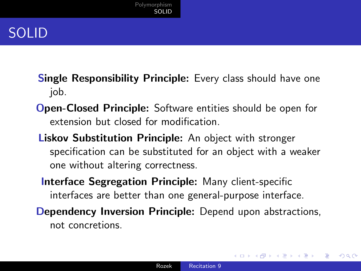# <span id="page-9-0"></span>SOLID

- **Single Responsibility Principle:** Every class should have one job.
- Open-Closed Principle: Software entities should be open for extension but closed for modification.
- Liskov Substitution Principle: An object with stronger specification can be substituted for an object with a weaker one without altering correctness.
- Interface Segregation Principle: Many client-specific interfaces are better than one general-purpose interface.
- **Dependency Inversion Principle:** Depend upon abstractions, not concretions.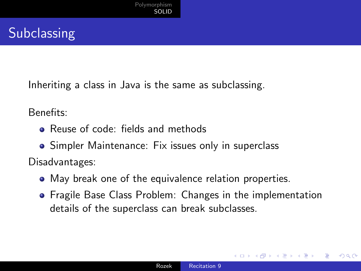# **Subclassing**

Inheriting a class in Java is the same as subclassing.

Benefits:

- **•** Reuse of code: fields and methods
- Simpler Maintenance: Fix issues only in superclass

Disadvantages:

- May break one of the equivalence relation properties.
- Fragile Base Class Problem: Changes in the implementation details of the superclass can break subclasses.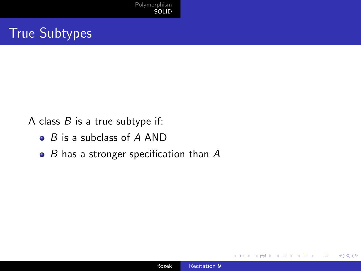# True Subtypes

A class  $B$  is a true subtype if:

- $\bullet$  B is a subclass of A AND
- $\bullet$  B has a stronger specification than A

つくへ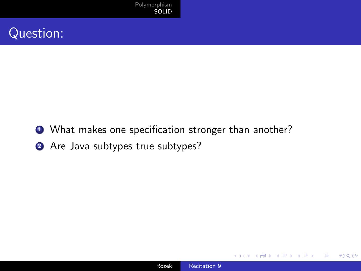- **1** What makes one specification stronger than another?
- 2 Are Java subtypes true subtypes?

 $299$ 

э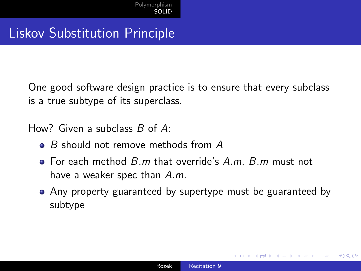#### Liskov Substitution Principle

One good software design practice is to ensure that every subclass is a true subtype of its superclass.

How? Given a subclass B of A:

- $\bullet$  B should not remove methods from A
- $\bullet$  For each method  $B.m$  that override's  $A.m$ ,  $B.m$  must not have a weaker spec than A.m.
- Any property guaranteed by supertype must be guaranteed by subtype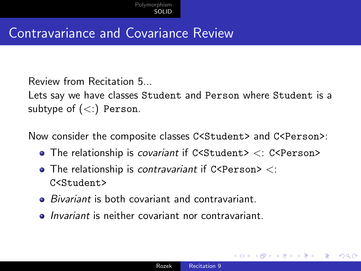#### Contravariance and Covariance Review

Review from Recitation 5...

Lets say we have classes Student and Person where Student is a subtype of  $(<)$  Person.

Now consider the composite classes C<Student> and C<Person>:

- $\bullet$  The relationship is *covariant* if C<Student>  $\lt$ : C<Person>
- $\bullet$  The relationship is contravariant if C<Person>  $\lt$ : C<Student>
- *Bivariant* is both covariant and contravariant.
- *Invariant* is neither covariant nor contravariant.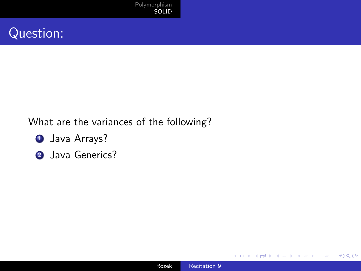#### What are the variances of the following?

- **1** Java Arrays?
- <sup>2</sup> Java Generics?

4 **ED**  $\mathcal{A}$  E

≣

-b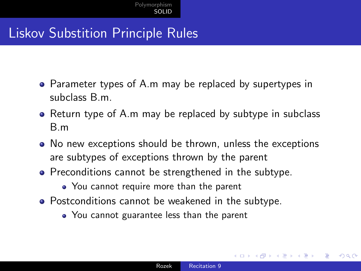# Liskov Substition Principle Rules

- Parameter types of A.m may be replaced by supertypes in subclass B.m.
- Return type of A.m may be replaced by subtype in subclass B.m
- No new exceptions should be thrown, unless the exceptions are subtypes of exceptions thrown by the parent
- Preconditions cannot be strengthened in the subtype.
	- You cannot require more than the parent
- **•** Postconditions cannot be weakened in the subtype.
	- You cannot guarantee less than the parent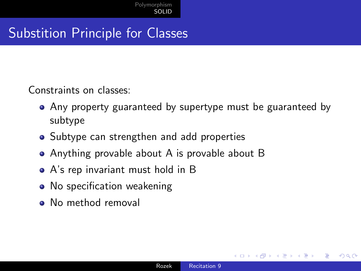# Substition Principle for Classes

Constraints on classes:

- Any property guaranteed by supertype must be guaranteed by subtype
- Subtype can strengthen and add properties
- Anything provable about A is provable about B
- A's rep invariant must hold in B
- No specification weakening
- No method removal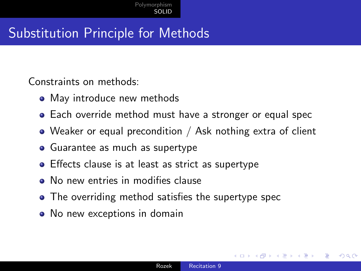# Substitution Principle for Methods

Constraints on methods:

- May introduce new methods
- Each override method must have a stronger or equal spec
- Weaker or equal precondition / Ask nothing extra of client
- Guarantee as much as supertype
- **•** Effects clause is at least as strict as supertype
- No new entries in modifies clause
- The overriding method satisfies the supertype spec
- No new exceptions in domain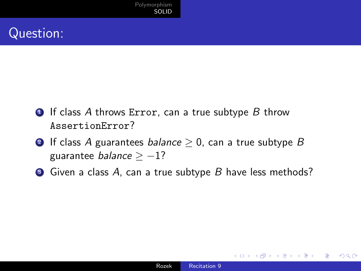- $\bullet$  If class A throws Error, can a true subtype B throw AssertionError?
- **2** If class A guarantees *balance*  $> 0$ , can a true subtype B guarantee *balance*  $> -1$ ?
- $\bullet$  Given a class A, can a true subtype B have less methods?

 $\Omega$